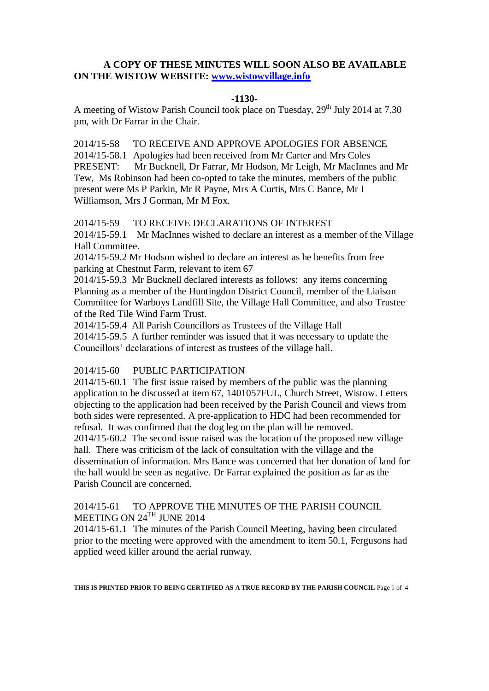# **A COPY OF THESE MINUTES WILL SOON ALSO BE AVAILABLE ON THE WISTOW WEBSITE: [www.wistowvillage.info](http://www.wistowvillage.info/)**

#### **-1130-**

A meeting of Wistow Parish Council took place on Tuesday, 29<sup>th</sup> July 2014 at 7.30 pm, with Dr Farrar in the Chair.

2014/15-58 TO RECEIVE AND APPROVE APOLOGIES FOR ABSENCE 2014/15-58.1 Apologies had been received from Mr Carter and Mrs Coles PRESENT: Mr Bucknell, Dr Farrar, Mr Hodson, Mr Leigh, Mr MacInnes and Mr Tew, Ms Robinson had been co-opted to take the minutes, members of the public present were Ms P Parkin, Mr R Payne, Mrs A Curtis, Mrs C Bance, Mr I Williamson, Mrs J Gorman, Mr M Fox.

# 2014/15-59 TO RECEIVE DECLARATIONS OF INTEREST

2014/15-59.1 Mr MacInnes wished to declare an interest as a member of the Village Hall Committee.

2014/15-59.2 Mr Hodson wished to declare an interest as he benefits from free parking at Chestnut Farm, relevant to item 67

2014/15-59.3 Mr Bucknell declared interests as follows: any items concerning Planning as a member of the Huntingdon District Council, member of the Liaison Committee for Warboys Landfill Site, the Village Hall Committee, and also Trustee of the Red Tile Wind Farm Trust.

2014/15-59.4 All Parish Councillors as Trustees of the Village Hall 2014/15-59.5 A further reminder was issued that it was necessary to update the Councillors' declarations of interest as trustees of the village hall.

# 2014/15-60 PUBLIC PARTICIPATION

2014/15-60.1 The first issue raised by members of the public was the planning application to be discussed at item 67, 1401057FUL, Church Street, Wistow. Letters objecting to the application had been received by the Parish Council and views from both sides were represented. A pre-application to HDC had been recommended for refusal. It was confirmed that the dog leg on the plan will be removed.

2014/15-60.2 The second issue raised was the location of the proposed new village hall. There was criticism of the lack of consultation with the village and the dissemination of information. Mrs Bance was concerned that her donation of land for the hall would be seen as negative. Dr Farrar explained the position as far as the Parish Council are concerned.

# 2014/15-61 TO APPROVE THE MINUTES OF THE PARISH COUNCIL MEETING ON 24<sup>TH</sup> JUNE 2014

2014/15-61.1 The minutes of the Parish Council Meeting, having been circulated prior to the meeting were approved with the amendment to item 50.1, Fergusons had applied weed killer around the aerial runway.

**THIS IS PRINTED PRIOR TO BEING CERTIFIED AS A TRUE RECORD BY THE PARISH COUNCIL** Page 1 of 4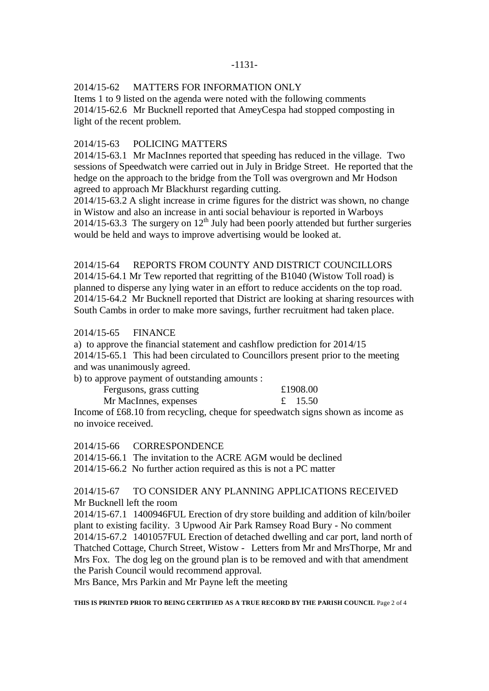### -1131-

# 2014/15-62 MATTERS FOR INFORMATION ONLY

Items 1 to 9 listed on the agenda were noted with the following comments 2014/15-62.6 Mr Bucknell reported that AmeyCespa had stopped composting in light of the recent problem.

### 2014/15-63 POLICING MATTERS

2014/15-63.1 Mr MacInnes reported that speeding has reduced in the village. Two sessions of Speedwatch were carried out in July in Bridge Street. He reported that the hedge on the approach to the bridge from the Toll was overgrown and Mr Hodson agreed to approach Mr Blackhurst regarding cutting.

2014/15-63.2 A slight increase in crime figures for the district was shown, no change in Wistow and also an increase in anti social behaviour is reported in Warboys  $2014/15-63.3$  The surgery on  $12<sup>th</sup>$  July had been poorly attended but further surgeries would be held and ways to improve advertising would be looked at.

# 2014/15-64 REPORTS FROM COUNTY AND DISTRICT COUNCILLORS

2014/15-64.1 Mr Tew reported that regritting of the B1040 (Wistow Toll road) is planned to disperse any lying water in an effort to reduce accidents on the top road. 2014/15-64.2 Mr Bucknell reported that District are looking at sharing resources with South Cambs in order to make more savings, further recruitment had taken place.

#### 2014/15-65 FINANCE

a) to approve the financial statement and cashflow prediction for 2014/15 2014/15-65.1 This had been circulated to Councillors present prior to the meeting and was unanimously agreed.

b) to approve payment of outstanding amounts :

| Fergusons, grass cutting | £1908.00 |         |
|--------------------------|----------|---------|
| Mr MacInnes, expenses    |          | £ 15.50 |

Income of £68.10 from recycling, cheque for speedwatch signs shown as income as no invoice received.

2014/15-66 CORRESPONDENCE

2014/15-66.1 The invitation to the ACRE AGM would be declined 2014/15-66.2 No further action required as this is not a PC matter

# 2014/15-67 TO CONSIDER ANY PLANNING APPLICATIONS RECEIVED Mr Bucknell left the room

2014/15-67.1 1400946FUL Erection of dry store building and addition of kiln/boiler plant to existing facility. 3 Upwood Air Park Ramsey Road Bury - No comment 2014/15-67.2 1401057FUL Erection of detached dwelling and car port, land north of Thatched Cottage, Church Street, Wistow - Letters from Mr and MrsThorpe, Mr and Mrs Fox. The dog leg on the ground plan is to be removed and with that amendment the Parish Council would recommend approval.

Mrs Bance, Mrs Parkin and Mr Payne left the meeting

**THIS IS PRINTED PRIOR TO BEING CERTIFIED AS A TRUE RECORD BY THE PARISH COUNCIL** Page 2 of 4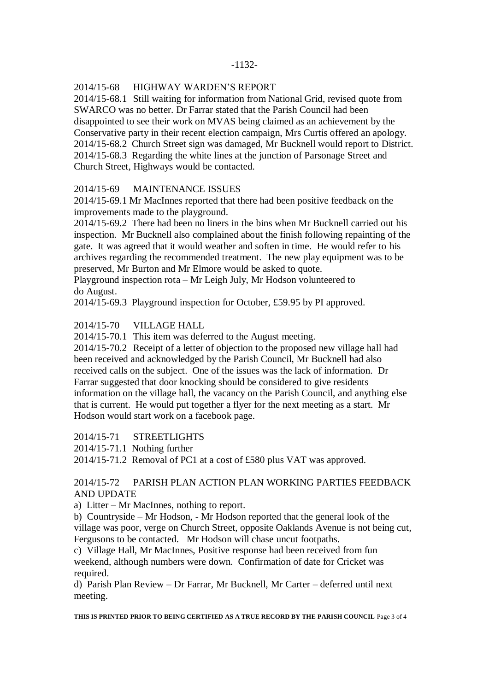### 2014/15-68 HIGHWAY WARDEN'S REPORT

2014/15-68.1 Still waiting for information from National Grid, revised quote from SWARCO was no better. Dr Farrar stated that the Parish Council had been disappointed to see their work on MVAS being claimed as an achievement by the Conservative party in their recent election campaign, Mrs Curtis offered an apology. 2014/15-68.2 Church Street sign was damaged, Mr Bucknell would report to District. 2014/15-68.3 Regarding the white lines at the junction of Parsonage Street and Church Street, Highways would be contacted.

### 2014/15-69 MAINTENANCE ISSUES

2014/15-69.1 Mr MacInnes reported that there had been positive feedback on the improvements made to the playground.

2014/15-69.2 There had been no liners in the bins when Mr Bucknell carried out his inspection. Mr Bucknell also complained about the finish following repainting of the gate. It was agreed that it would weather and soften in time. He would refer to his archives regarding the recommended treatment. The new play equipment was to be preserved, Mr Burton and Mr Elmore would be asked to quote.

Playground inspection rota – Mr Leigh July, Mr Hodson volunteered to do August.

2014/15-69.3 Playground inspection for October, £59.95 by PI approved.

### 2014/15-70 VILLAGE HALL

2014/15-70.1 This item was deferred to the August meeting.

2014/15-70.2 Receipt of a letter of objection to the proposed new village hall had been received and acknowledged by the Parish Council, Mr Bucknell had also received calls on the subject. One of the issues was the lack of information. Dr Farrar suggested that door knocking should be considered to give residents information on the village hall, the vacancy on the Parish Council, and anything else that is current. He would put together a flyer for the next meeting as a start. Mr Hodson would start work on a facebook page.

2014/15-71 STREETLIGHTS

2014/15-71.1 Nothing further

2014/15-71.2 Removal of PC1 at a cost of £580 plus VAT was approved.

# 2014/15-72 PARISH PLAN ACTION PLAN WORKING PARTIES FEEDBACK AND UPDATE

a) Litter – Mr MacInnes, nothing to report.

b) Countryside – Mr Hodson, - Mr Hodson reported that the general look of the village was poor, verge on Church Street, opposite Oaklands Avenue is not being cut, Fergusons to be contacted. Mr Hodson will chase uncut footpaths.

c) Village Hall, Mr MacInnes, Positive response had been received from fun weekend, although numbers were down. Confirmation of date for Cricket was required.

d) Parish Plan Review – Dr Farrar, Mr Bucknell, Mr Carter – deferred until next meeting.

**THIS IS PRINTED PRIOR TO BEING CERTIFIED AS A TRUE RECORD BY THE PARISH COUNCIL** Page 3 of 4